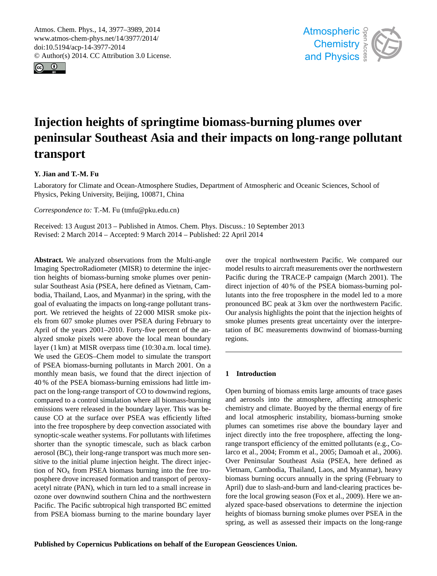<span id="page-0-0"></span>Atmos. Chem. Phys., 14, 3977–3989, 2014 www.atmos-chem-phys.net/14/3977/2014/ doi:10.5194/acp-14-3977-2014 © Author(s) 2014. CC Attribution 3.0 License.





# **Injection heights of springtime biomass-burning plumes over peninsular Southeast Asia and their impacts on long-range pollutant transport**

# **Y. Jian and T.-M. Fu**

Laboratory for Climate and Ocean-Atmosphere Studies, Department of Atmospheric and Oceanic Sciences, School of Physics, Peking University, Beijing, 100871, China

*Correspondence to:* T.-M. Fu (tmfu@pku.edu.cn)

Received: 13 August 2013 – Published in Atmos. Chem. Phys. Discuss.: 10 September 2013 Revised: 2 March 2014 – Accepted: 9 March 2014 – Published: 22 April 2014

**Abstract.** We analyzed observations from the Multi-angle Imaging SpectroRadiometer (MISR) to determine the injection heights of biomass-burning smoke plumes over peninsular Southeast Asia (PSEA, here defined as Vietnam, Cambodia, Thailand, Laos, and Myanmar) in the spring, with the goal of evaluating the impacts on long-range pollutant transport. We retrieved the heights of 22 000 MISR smoke pixels from 607 smoke plumes over PSEA during February to April of the years 2001–2010. Forty-five percent of the analyzed smoke pixels were above the local mean boundary layer (1 km) at MISR overpass time (10:30 a.m. local time). We used the GEOS–Chem model to simulate the transport of PSEA biomass-burning pollutants in March 2001. On a monthly mean basis, we found that the direct injection of 40 % of the PSEA biomass-burning emissions had little impact on the long-range transport of CO to downwind regions, compared to a control simulation where all biomass-burning emissions were released in the boundary layer. This was because CO at the surface over PSEA was efficiently lifted into the free troposphere by deep convection associated with synoptic-scale weather systems. For pollutants with lifetimes shorter than the synoptic timescale, such as black carbon aerosol (BC), their long-range transport was much more sensitive to the initial plume injection height. The direct injection of  $NO<sub>x</sub>$  from PSEA biomass burning into the free troposphere drove increased formation and transport of peroxyacetyl nitrate (PAN), which in turn led to a small increase in ozone over downwind southern China and the northwestern Pacific. The Pacific subtropical high transported BC emitted from PSEA biomass burning to the marine boundary layer over the tropical northwestern Pacific. We compared our model results to aircraft measurements over the northwestern Pacific during the TRACE-P campaign (March 2001). The direct injection of 40 % of the PSEA biomass-burning pollutants into the free troposphere in the model led to a more pronounced BC peak at 3 km over the northwestern Pacific. Our analysis highlights the point that the injection heights of smoke plumes presents great uncertainty over the interpretation of BC measurements downwind of biomass-burning regions.

## **1 Introduction**

Open burning of biomass emits large amounts of trace gases and aerosols into the atmosphere, affecting atmospheric chemistry and climate. Buoyed by the thermal energy of fire and local atmospheric instability, biomass-burning smoke plumes can sometimes rise above the boundary layer and inject directly into the free troposphere, affecting the longrange transport efficiency of the emitted pollutants (e.g., Colarco et al., 2004; Fromm et al., 2005; Damoah et al., 2006). Over Peninsular Southeast Asia (PSEA, here defined as Vietnam, Cambodia, Thailand, Laos, and Myanmar), heavy biomass burning occurs annually in the spring (February to April) due to slash-and-burn and land-clearing practices before the local growing season (Fox et al., 2009). Here we analyzed space-based observations to determine the injection heights of biomass burning smoke plumes over PSEA in the spring, as well as assessed their impacts on the long-range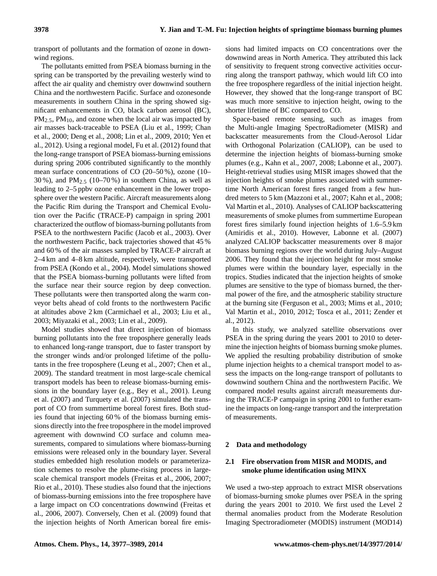transport of pollutants and the formation of ozone in downwind regions.

The pollutants emitted from PSEA biomass burning in the spring can be transported by the prevailing westerly wind to affect the air quality and chemistry over downwind southern China and the northwestern Pacific. Surface and ozonesonde measurements in southern China in the spring showed significant enhancements in CO, black carbon aerosol (BC),  $PM_{2.5}$ ,  $PM_{10}$ , and ozone when the local air was impacted by air masses back-traceable to PSEA (Liu et al., 1999; Chan et al., 2000; Deng et al., 2008; Lin et al., 2009, 2010; Yen et al., 2012). Using a regional model, Fu et al. (2012) found that the long-range transport of PSEA biomass-burning emissions during spring 2006 contributed significantly to the monthly mean surface concentrations of CO (20–50 %), ozone (10– 30%), and  $PM_{2.5}$  (10–70%) in southern China, as well as leading to 2–5 ppbv ozone enhancement in the lower troposphere over the western Pacific. Aircraft measurements along the Pacific Rim during the Transport and Chemical Evolution over the Pacific (TRACE-P) campaign in spring 2001 characterized the outflow of biomass-burning pollutants from PSEA to the northwestern Pacific (Jacob et al., 2003). Over the northwestern Pacific, back trajectories showed that 45 % and 60 % of the air masses sampled by TRACE-P aircraft at 2–4 km and 4–8 km altitude, respectively, were transported from PSEA (Kondo et al., 2004). Model simulations showed that the PSEA biomass-burning pollutants were lifted from the surface near their source region by deep convection. These pollutants were then transported along the warm conveyor belts ahead of cold fronts to the northwestern Pacific at altitudes above 2 km (Carmichael et al., 2003; Liu et al., 2003; Miyazaki et al., 2003; Lin et al., 2009).

Model studies showed that direct injection of biomass burning pollutants into the free troposphere generally leads to enhanced long-range transport, due to faster transport by the stronger winds and/or prolonged lifetime of the pollutants in the free troposphere (Leung et al., 2007; Chen et al., 2009). The standard treatment in most large-scale chemical transport models has been to release biomass-burning emissions in the boundary layer (e.g., Bey et al., 2001). Leung et al. (2007) and Turquety et al. (2007) simulated the transport of CO from summertime boreal forest fires. Both studies found that injecting 60 % of the biomass burning emissions directly into the free troposphere in the model improved agreement with downwind CO surface and column measurements, compared to simulations where biomass-burning emissions were released only in the boundary layer. Several studies embedded high resolution models or parameterization schemes to resolve the plume-rising process in largescale chemical transport models (Freitas et al., 2006, 2007; Rio et al., 2010). These studies also found that the injections of biomass-burning emissions into the free troposphere have a large impact on CO concentrations downwind (Freitas et al., 2006, 2007). Conversely, Chen et al. (2009) found that the injection heights of North American boreal fire emissions had limited impacts on CO concentrations over the downwind areas in North America. They attributed this lack of sensitivity to frequent strong convective activities occurring along the transport pathway, which would lift CO into the free troposphere regardless of the initial injection height. However, they showed that the long-range transport of BC was much more sensitive to injection height, owing to the shorter lifetime of BC compared to CO.

Space-based remote sensing, such as images from the Multi-angle Imaging SpectroRadiometer (MISR) and backscatter measurements from the Cloud-Aerosol Lidar with Orthogonal Polarization (CALIOP), can be used to determine the injection heights of biomass-burning smoke plumes (e.g., Kahn et al., 2007, 2008; Labonne et al., 2007). Height-retrieval studies using MISR images showed that the injection heights of smoke plumes associated with summertime North American forest fires ranged from a few hundred meters to 5 km (Mazzoni et al., 2007; Kahn et al., 2008; Val Martin et al., 2010). Analyses of CALIOP backscattering measurements of smoke plumes from summertime European forest fires similarly found injection heights of 1.6–5.9 km (Amiridis et al., 2010). However, Labonne et al. (2007) analyzed CALIOP backscatter measurements over 8 major biomass burning regions over the world during July–August 2006. They found that the injection height for most smoke plumes were within the boundary layer, especially in the tropics. Studies indicated that the injection heights of smoke plumes are sensitive to the type of biomass burned, the thermal power of the fire, and the atmospheric stability structure at the burning site (Ferguson et al., 2003; Mims et al., 2010; Val Martin et al., 2010, 2012; Tosca et al., 2011; Zender et al., 2012).

In this study, we analyzed satellite observations over PSEA in the spring during the years 2001 to 2010 to determine the injection heights of biomass burning smoke plumes. We applied the resulting probability distribution of smoke plume injection heights to a chemical transport model to assess the impacts on the long-range transport of pollutants to downwind southern China and the northwestern Pacific. We compared model results against aircraft measurements during the TRACE-P campaign in spring 2001 to further examine the impacts on long-range transport and the interpretation of measurements.

## **2 Data and methodology**

# **2.1 Fire observation from MISR and MODIS, and smoke plume identification using MINX**

We used a two-step approach to extract MISR observations of biomass-burning smoke plumes over PSEA in the spring during the years 2001 to 2010. We first used the Level 2 thermal anomalies product from the Moderate Resolution Imaging Spectroradiometer (MODIS) instrument (MOD14)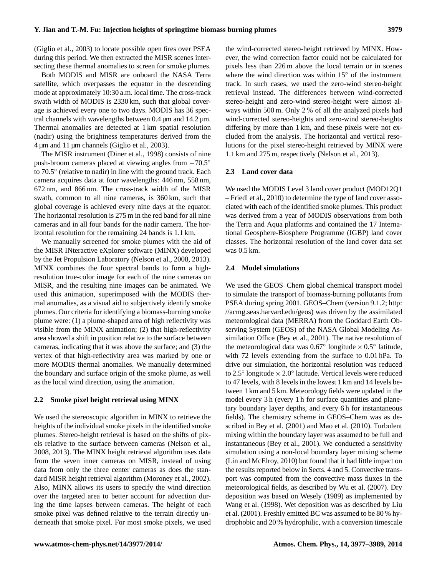(Giglio et al., 2003) to locate possible open fires over PSEA during this period. We then extracted the MISR scenes intersecting these thermal anomalies to screen for smoke plumes.

Both MODIS and MISR are onboard the NASA Terra satellite, which overpasses the equator in the descending mode at approximately 10:30 a.m. local time. The cross-track swath width of MODIS is 2330 km, such that global coverage is achieved every one to two days. MODIS has 36 spectral channels with wavelengths between  $0.4 \mu m$  and  $14.2 \mu m$ . Thermal anomalies are detected at 1 km spatial resolution (nadir) using the brightness temperatures derived from the 4 µm and 11 µm channels (Giglio et al., 2003).

The MISR instrument (Diner et al., 1998) consists of nine push-broom cameras placed at viewing angles from −70.5◦ to 70.5◦ (relative to nadir) in line with the ground track. Each camera acquires data at four wavelengths: 446 nm, 558 nm, 672 nm, and 866 nm. The cross-track width of the MISR swath, common to all nine cameras, is 360 km, such that global coverage is achieved every nine days at the equator. The horizontal resolution is 275 m in the red band for all nine cameras and in all four bands for the nadir camera. The horizontal resolution for the remaining 24 bands is 1.1 km.

We manually screened for smoke plumes with the aid of the MISR INteractive eXplorer software (MINX) developed by the Jet Propulsion Laboratory (Nelson et al., 2008, 2013). MINX combines the four spectral bands to form a highresolution true-color image for each of the nine cameras on MISR, and the resulting nine images can be animated. We used this animation, superimposed with the MODIS thermal anomalies, as a visual aid to subjectively identify smoke plumes. Our criteria for identifying a biomass-burning smoke plume were: (1) a plume-shaped area of high reflectivity was visible from the MINX animation; (2) that high-reflectivity area showed a shift in position relative to the surface between cameras, indicating that it was above the surface; and (3) the vertex of that high-reflectivity area was marked by one or more MODIS thermal anomalies. We manually determined the boundary and surface origin of the smoke plume, as well as the local wind direction, using the animation.

#### **2.2 Smoke pixel height retrieval using MINX**

We used the stereoscopic algorithm in MINX to retrieve the heights of the individual smoke pixels in the identified smoke plumes. Stereo-height retrieval is based on the shifts of pixels relative to the surface between cameras (Nelson et al., 2008, 2013). The MINX height retrieval algorithm uses data from the seven inner cameras on MISR, instead of using data from only the three center cameras as does the standard MISR height retrieval algorithm (Moroney et al., 2002). Also, MINX allows its users to specify the wind direction over the targeted area to better account for advection during the time lapses between cameras. The height of each smoke pixel was defined relative to the terrain directly underneath that smoke pixel. For most smoke pixels, we used the wind-corrected stereo-height retrieved by MINX. However, the wind correction factor could not be calculated for pixels less than 226 m above the local terrain or in scenes where the wind direction was within 15◦ of the instrument track. In such cases, we used the zero-wind stereo-height retrieval instead. The differences between wind-corrected stereo-height and zero-wind stereo-height were almost always within 500 m. Only 2 % of all the analyzed pixels had wind-corrected stereo-heights and zero-wind stereo-heights differing by more than 1 km, and these pixels were not excluded from the analysis. The horizontal and vertical resolutions for the pixel stereo-height retrieved by MINX were 1.1 km and 275 m, respectively (Nelson et al., 2013).

#### **2.3 Land cover data**

We used the MODIS Level 3 land cover product (MOD12Q1 – Friedl et al., 2010) to determine the type of land cover associated with each of the identified smoke plumes. This product was derived from a year of MODIS observations from both the Terra and Aqua platforms and contained the 17 International Geosphere-Biosphere Programme (IGBP) land cover classes. The horizontal resolution of the land cover data set was 0.5 km.

#### **2.4 Model simulations**

We used the GEOS–Chem global chemical transport model to simulate the transport of biomass-burning pollutants from PSEA during spring 2001. GEOS–Chem (version 9.1.2; [http:](http://acmg.seas.harvard.edu/geos) [//acmg.seas.harvard.edu/geos\)](http://acmg.seas.harvard.edu/geos) was driven by the assimilated meteorological data (MERRA) from the Goddard Earth Observing System (GEOS) of the NASA Global Modeling Assimilation Office (Bey et al., 2001). The native resolution of the meteorological data was  $0.67^{\circ}$  longitude ×  $0.5^{\circ}$  latitude, with 72 levels extending from the surface to 0.01 hPa. To drive our simulation, the horizontal resolution was reduced to  $2.5^\circ$  longitude  $\times 2.0^\circ$  latitude. Vertical levels were reduced to 47 levels, with 8 levels in the lowest 1 km and 14 levels between 1 km and 5 km. Meteorology fields were updated in the model every 3 h (every 1 h for surface quantities and planetary boundary layer depths, and every 6 h for instantaneous fields). The chemistry scheme in GEOS–Chem was as described in Bey et al. (2001) and Mao et al. (2010). Turbulent mixing within the boundary layer was assumed to be full and instantaneous (Bey et al., 2001). We conducted a sensitivity simulation using a non-local boundary layer mixing scheme (Lin and McElroy, 2010) but found that it had little impact on the results reported below in Sects. 4 and 5. Convective transport was computed from the convective mass fluxes in the meteorological fields, as described by Wu et al. (2007). Dry deposition was based on Wesely (1989) as implemented by Wang et al. (1998). Wet deposition was as described by Liu et al. (2001). Freshly emitted BC was assumed to be 80 % hydrophobic and 20 % hydrophilic, with a conversion timescale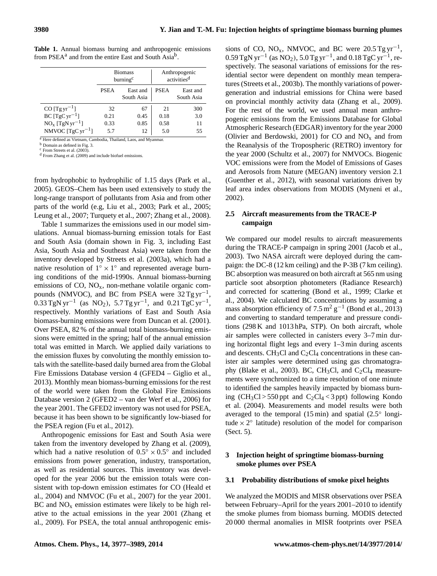|                               | <b>Biomass</b><br>burning <sup>c</sup> |                        | Anthropogenic<br>activities <sup>d</sup> |                        |
|-------------------------------|----------------------------------------|------------------------|------------------------------------------|------------------------|
|                               | <b>PSEA</b>                            | East and<br>South Asia | <b>PSEA</b>                              | East and<br>South Asia |
| CO $[Tgyr^{-1}]$              | 32                                     | 67                     | 21                                       | 300                    |
| $BC [TgCyr^{-1}]$             | 0.21                                   | 0.45                   | 0.18                                     | 3.0                    |
| $NOx$ [TgN yr <sup>-1</sup> ] | 0.33                                   | 0.85                   | 0.58                                     | 11                     |
| NMVOC $[TgC yr^{-1}]$         | 5.7                                    | 12                     | 5.0                                      | 55                     |

**Table 1.** Annual biomass burning and anthropogenic emissions from PSEA<sup>a</sup> and from the entire East and South Asia<sup>b</sup>.

<sup>a</sup> Here defined as Vietnam, Cambodia, Thailand, Laos, and Myanmar.

<sup>b</sup> Domain as defined in Fig. 3.

From Streets et al. (2003).

<sup>d</sup> From Zhang et al. (2009) and include biofuel emissions.

from hydrophobic to hydrophilic of 1.15 days (Park et al., 2005). GEOS–Chem has been used extensively to study the long-range transport of pollutants from Asia and from other parts of the world (e.g, Liu et al., 2003; Park et al., 2005; Leung et al., 2007; Turquety et al., 2007; Zhang et al., 2008).

Table 1 summarizes the emissions used in our model simulations. Annual biomass-burning emission totals for East and South Asia (domain shown in Fig. 3, including East Asia, South Asia and Southeast Asia) were taken from the inventory developed by Streets et al. (2003a), which had a native resolution of  $1^\circ \times 1^\circ$  and represented average burning conditions of the mid-1990s. Annual biomass-burning emissions of  $CO$ ,  $NO<sub>x</sub>$ , non-methane volatile organic compounds (NMVOC), and BC from PSEA were  $32$  Tg yr<sup>-1</sup>,  $0.33$  TgN yr<sup>-1</sup> (as NO<sub>2</sub>), 5.7 Tg yr<sup>-1</sup>, and 0.21 TgC yr<sup>-1</sup>, respectively. Monthly variations of East and South Asia biomass-burning emissions were from Duncan et al. (2001). Over PSEA, 82 % of the annual total biomass-burning emissions were emitted in the spring; half of the annual emission total was emitted in March. We applied daily variations to the emission fluxes by convoluting the monthly emission totals with the satellite-based daily burned area from the Global Fire Emissions Database version 4 (GFED4 – Giglio et al., 2013). Monthly mean biomass-burning emissions for the rest of the world were taken from the Global Fire Emissions Database version 2 (GFED2 – van der Werf et al., 2006) for the year 2001. The GFED2 inventory was not used for PSEA, because it has been shown to be significantly low-biased for the PSEA region (Fu et al., 2012).

Anthropogenic emissions for East and South Asia were taken from the inventory developed by Zhang et al. (2009), which had a native resolution of  $0.5^{\circ} \times 0.5^{\circ}$  and included emissions from power generation, industry, transportation, as well as residential sources. This inventory was developed for the year 2006 but the emission totals were consistent with top-down emission estimates for CO (Heald et al., 2004) and NMVOC (Fu et al., 2007) for the year 2001.  $BC$  and  $NO<sub>x</sub>$  emission estimates were likely to be high relative to the actual emissions in the year 2001 (Zhang et al., 2009). For PSEA, the total annual anthropogenic emis-

sions of CO, NO<sub>x</sub>, NMVOC, and BC were 20.5 Tg  $yr^{-1}$ ,  $0.59 \text{ TgN yr}^{-1}$  (as NO<sub>2</sub>),  $5.0 \text{ Tg yr}^{-1}$ , and  $0.18 \text{ TgC yr}^{-1}$ , respectively. The seasonal variations of emissions for the residential sector were dependent on monthly mean temperatures (Streets et al., 2003b). The monthly variations of powergeneration and industrial emissions for China were based on provincial monthly activity data (Zhang et al., 2009). For the rest of the world, we used annual mean anthropogenic emissions from the Emissions Database for Global Atmospheric Research (EDGAR) inventory for the year 2000 (Olivier and Berdowski, 2001) for CO and  $NO<sub>x</sub>$  and from the Reanalysis of the Tropospheric (RETRO) inventory for the year 2000 (Schultz et al., 2007) for NMVOCs. Biogenic VOC emissions were from the Model of Emissions of Gases and Aerosols from Nature (MEGAN) inventory version 2.1 (Guenther et al., 2012), with seasonal variations driven by leaf area index observations from MODIS (Myneni et al., 2002).

# **2.5 Aircraft measurements from the TRACE-P campaign**

We compared our model results to aircraft measurements during the TRACE-P campaign in spring 2001 (Jacob et al., 2003). Two NASA aircraft were deployed during the campaign: the DC-8 (12 km ceiling) and the P-3B (7 km ceiling). BC absorption was measured on both aircraft at 565 nm using particle soot absorption photometers (Radiance Research) and corrected for scattering (Bond et al., 1999; Clarke et al., 2004). We calculated BC concentrations by assuming a mass absorption efficiency of  $7.5 \text{ m}^2 \text{ g}^{-1}$  (Bond et al., 2013) and converting to standard temperature and pressure conditions (298 K and 1013 hPa, STP). On both aircraft, whole air samples were collected in canisters every 3–7 min during horizontal flight legs and every 1–3 min during ascents and descents. CH<sub>3</sub>Cl and C<sub>2</sub>Cl<sub>4</sub> concentrations in these canister air samples were determined using gas chromatography (Blake et al., 2003). BC, CH<sub>3</sub>Cl, and C<sub>2</sub>Cl<sub>4</sub> measurements were synchronized to a time resolution of one minute to identified the samples heavily impacted by biomass burning  $(CH_3Cl > 550$  ppt and  $C_2Cl_4 < 3$  ppt) following Kondo et al. (2004). Measurements and model results were both averaged to the temporal (15 min) and spatial (2.5◦ longitude  $\times$  2° latitude) resolution of the model for comparison (Sect. 5).

## **3 Injection height of springtime biomass-burning smoke plumes over PSEA**

#### **3.1 Probability distributions of smoke pixel heights**

We analyzed the MODIS and MISR observations over PSEA between February–April for the years 2001–2010 to identify the smoke plumes from biomass burning. MODIS detected 20 000 thermal anomalies in MISR footprints over PSEA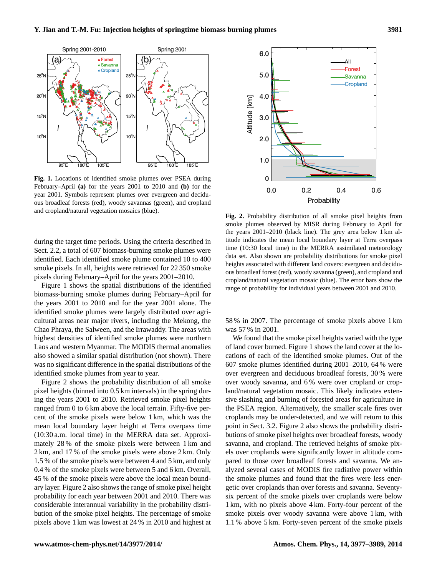

**Fig. 1.** Locations of identified smoke plumes over PSEA during February–April **(a)** for the years 2001 to 2010 and **(b)** for the year 2001. Symbols represent plumes over evergreen and deciduous broadleaf forests (red), woody savannas (green), and cropland and cropland/natural vegetation mosaics (blue).

during the target time periods. Using the criteria described in Sect. 2.2, a total of 607 biomass-burning smoke plumes were identified. Each identified smoke plume contained 10 to 400 smoke pixels. In all, heights were retrieved for 22 350 smoke pixels during February–April for the years 2001–2010.

Figure 1 shows the spatial distributions of the identified biomass-burning smoke plumes during February–April for the years 2001 to 2010 and for the year 2001 alone. The identified smoke plumes were largely distributed over agricultural areas near major rivers, including the Mekong, the Chao Phraya, the Salween, and the Irrawaddy. The areas with highest densities of identified smoke plumes were northern Laos and western Myanmar. The MODIS thermal anomalies also showed a similar spatial distribution (not shown). There was no significant difference in the spatial distributions of the identified smoke plumes from year to year.

Figure 2 shows the probability distribution of all smoke pixel heights (binned into 0.5 km intervals) in the spring during the years 2001 to 2010. Retrieved smoke pixel heights ranged from 0 to 6 km above the local terrain. Fifty-five percent of the smoke pixels were below 1 km, which was the mean local boundary layer height at Terra overpass time (10:30 a.m. local time) in the MERRA data set. Approximately 28 % of the smoke pixels were between 1 km and 2 km, and 17 % of the smoke pixels were above 2 km. Only 1.5 % of the smoke pixels were between 4 and 5 km, and only 0.4 % of the smoke pixels were between 5 and 6 km. Overall, 45 % of the smoke pixels were above the local mean boundary layer. Figure 2 also shows the range of smoke pixel height probability for each year between 2001 and 2010. There was considerable interannual variability in the probability distribution of the smoke pixel heights. The percentage of smoke pixels above 1 km was lowest at 24 % in 2010 and highest at



**Fig. 2.** Probability distribution of all smoke pixel heights from smoke plumes observed by MISR during February to April for the years 2001–2010 (black line). The grey area below 1 km altitude indicates the mean local boundary layer at Terra overpass time (10:30 local time) in the MERRA assimilated meteorology data set. Also shown are probability distributions for smoke pixel heights associated with different land covers: evergreen and deciduous broadleaf forest (red), woody savanna (green), and cropland and cropland/natural vegetation mosaic (blue). The error bars show the range of probability for individual years between 2001 and 2010.

58 % in 2007. The percentage of smoke pixels above 1 km was 57 % in 2001.

We found that the smoke pixel heights varied with the type of land cover burned. Figure 1 shows the land cover at the locations of each of the identified smoke plumes. Out of the 607 smoke plumes identified during 2001–2010, 64 % were over evergreen and deciduous broadleaf forests, 30 % were over woody savanna, and 6 % were over cropland or cropland/natural vegetation mosaic. This likely indicates extensive slashing and burning of forested areas for agriculture in the PSEA region. Alternatively, the smaller scale fires over croplands may be under-detected, and we will return to this point in Sect. 3.2. Figure 2 also shows the probability distributions of smoke pixel heights over broadleaf forests, woody savanna, and cropland. The retrieved heights of smoke pixels over croplands were significantly lower in altitude compared to those over broadleaf forests and savanna. We analyzed several cases of MODIS fire radiative power within the smoke plumes and found that the fires were less energetic over croplands than over forests and savanna. Seventysix percent of the smoke pixels over croplands were below 1 km, with no pixels above 4 km. Forty-four percent of the smoke pixels over woody savanna were above 1 km, with 1.1 % above 5 km. Forty-seven percent of the smoke pixels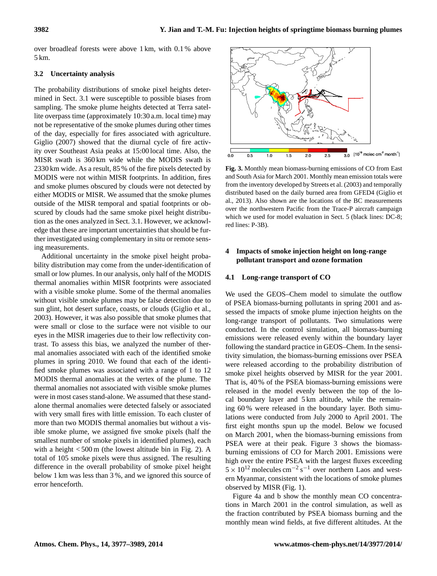over broadleaf forests were above 1 km, with 0.1 % above 5 km.

# **3.2 Uncertainty analysis**

The probability distributions of smoke pixel heights determined in Sect. 3.1 were susceptible to possible biases from sampling. The smoke plume heights detected at Terra satellite overpass time (approximately 10:30 a.m. local time) may not be representative of the smoke plumes during other times of the day, especially for fires associated with agriculture. Giglio (2007) showed that the diurnal cycle of fire activity over Southeast Asia peaks at 15:00 local time. Also, the MISR swath is 360 km wide while the MODIS swath is 2330 km wide. As a result, 85 % of the fire pixels detected by MODIS were not within MISR footprints. In addition, fires and smoke plumes obscured by clouds were not detected by either MODIS or MISR. We assumed that the smoke plumes outside of the MISR temporal and spatial footprints or obscured by clouds had the same smoke pixel height distribution as the ones analyzed in Sect. 3.1. However, we acknowledge that these are important uncertainties that should be further investigated using complementary in situ or remote sensing measurements.

Additional uncertainty in the smoke pixel height probability distribution may come from the under-identification of small or low plumes. In our analysis, only half of the MODIS thermal anomalies within MISR footprints were associated with a visible smoke plume. Some of the thermal anomalies without visible smoke plumes may be false detection due to sun glint, hot desert surface, coasts, or clouds (Giglio et al., 2003). However, it was also possible that smoke plumes that were small or close to the surface were not visible to our eyes in the MISR imageries due to their low reflectivity contrast. To assess this bias, we analyzed the number of thermal anomalies associated with each of the identified smoke plumes in spring 2010. We found that each of the identified smoke plumes was associated with a range of 1 to 12 MODIS thermal anomalies at the vertex of the plume. The thermal anomalies not associated with visible smoke plumes were in most cases stand-alone. We assumed that these standalone thermal anomalies were detected falsely or associated with very small fires with little emission. To each cluster of more than two MODIS thermal anomalies but without a visible smoke plume, we assigned five smoke pixels (half the smallest number of smoke pixels in identified plumes), each with a height  $<$  500 m (the lowest altitude bin in Fig. 2). A total of 105 smoke pixels were thus assigned. The resulting difference in the overall probability of smoke pixel height below 1 km was less than 3 %, and we ignored this source of error henceforth.



**Fig. 3.** Monthly mean biomass-burning emissions of CO from East and South Asia for March 2001. Monthly mean emission totals were from the inventory developed by Streets et al. (2003) and temporally distributed based on the daily burned area from GFED4 (Giglio et al., 2013). Also shown are the locations of the BC measurements over the northwestern Pacific from the Trace-P aircraft campaign which we used for model evaluation in Sect. 5 (black lines: DC-8; red lines: P-3B).

# **4 Impacts of smoke injection height on long-range pollutant transport and ozone formation**

## **4.1 Long-range transport of CO**

We used the GEOS–Chem model to simulate the outflow of PSEA biomass-burning pollutants in spring 2001 and assessed the impacts of smoke plume injection heights on the long-range transport of pollutants. Two simulations were conducted. In the control simulation, all biomass-burning emissions were released evenly within the boundary layer following the standard practice in GEOS–Chem. In the sensitivity simulation, the biomass-burning emissions over PSEA were released according to the probability distribution of smoke pixel heights observed by MISR for the year 2001. That is, 40 % of the PSEA biomass-burning emissions were released in the model evenly between the top of the local boundary layer and 5 km altitude, while the remaining 60 % were released in the boundary layer. Both simulations were conducted from July 2000 to April 2001. The first eight months spun up the model. Below we focused on March 2001, when the biomass-burning emissions from PSEA were at their peak. Figure 3 shows the biomassburning emissions of CO for March 2001. Emissions were high over the entire PSEA with the largest fluxes exceeding  $5 \times 10^{12}$  molecules cm<sup>-2</sup> s<sup>-1</sup> over northern Laos and western Myanmar, consistent with the locations of smoke plumes observed by MISR (Fig. 1).

Figure 4a and b show the monthly mean CO concentrations in March 2001 in the control simulation, as well as the fraction contributed by PSEA biomass burning and the monthly mean wind fields, at five different altitudes. At the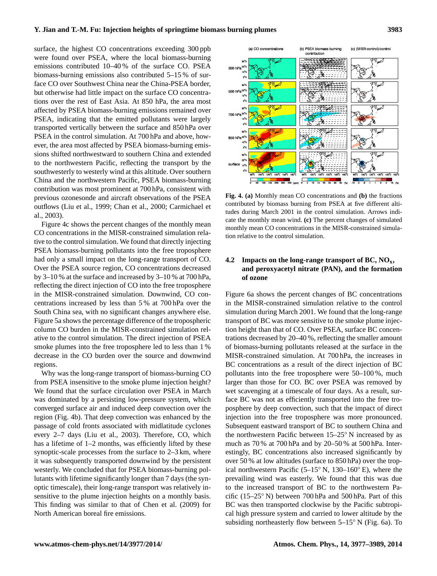surface, the highest CO concentrations exceeding 300 ppb were found over PSEA, where the local biomass-burning emissions contributed 10–40 % of the surface CO. PSEA biomass-burning emissions also contributed 5–15 % of surface CO over Southwest China near the China-PSEA border, but otherwise had little impact on the surface CO concentrations over the rest of East Asia. At 850 hPa, the area most affected by PSEA biomass-burning emissions remained over PSEA, indicating that the emitted pollutants were largely transported vertically between the surface and 850 hPa over PSEA in the control simulation. At 700 hPa and above, however, the area most affected by PSEA biomass-burning emissions shifted northwestward to southern China and extended to the northwestern Pacific, reflecting the transport by the southwesterly to westerly wind at this altitude. Over southern China and the northwestern Pacific, PSEA biomass-burning contribution was most prominent at 700 hPa, consistent with previous ozonesonde and aircraft observations of the PSEA outflows (Liu et al., 1999; Chan et al., 2000; Carmichael et al., 2003).

Figure 4c shows the percent changes of the monthly mean CO concentrations in the MISR-constrained simulation relative to the control simulation. We found that directly injecting PSEA biomass-burning pollutants into the free troposphere had only a small impact on the long-range transport of CO. Over the PSEA source region, CO concentrations decreased by 3–10 % at the surface and increased by 3–10 % at 700 hPa, reflecting the direct injection of CO into the free troposphere in the MISR-constrained simulation. Downwind, CO concentrations increased by less than 5 % at 700 hPa over the South China sea, with no significant changes anywhere else. Figure 5a shows the percentage difference of the tropospheric column CO burden in the MISR-constrained simulation relative to the control simulation. The direct injection of PSEA smoke plumes into the free troposphere led to less than 1 % decrease in the CO burden over the source and downwind regions.

Why was the long-range transport of biomass-burning CO from PSEA insensitive to the smoke plume injection height? We found that the surface circulation over PSEA in March was dominated by a persisting low-pressure system, which converged surface air and induced deep convection over the region (Fig. 4b). That deep convection was enhanced by the passage of cold fronts associated with midlatitude cyclones every 2–7 days (Liu et al., 2003). Therefore, CO, which has a lifetime of 1–2 months, was efficiently lifted by these synoptic-scale processes from the surface to 2–3 km, where it was subsequently transported downwind by the persistent westerly. We concluded that for PSEA biomass-burning pollutants with lifetime significantly longer than 7 days (the synoptic timescale), their long-range transport was relatively insensitive to the plume injection heights on a monthly basis. This finding was similar to that of Chen et al. (2009) for North American boreal fire emissions.



**Fig. 4. (a)** Monthly mean CO concentrations and **(b)** the fractions contributed by biomass burning from PSEA at five different altitudes during March 2001 in the control simulation. Arrows indicate the monthly mean wind. **(c)** The percent changes of simulated monthly mean CO concentrations in the MISR-constrained simulation relative to the control simulation.

# **4.2 Impacts on the long-range transport of BC, NOx, and peroxyacetyl nitrate (PAN), and the formation of ozone**

Figure 6a shows the percent changes of BC concentrations in the MISR-constrained simulation relative to the control simulation during March 2001. We found that the long-range transport of BC was more sensitive to the smoke plume injection height than that of CO. Over PSEA, surface BC concentrations decreased by 20–40 %, reflecting the smaller amount of biomass-burning pollutants released at the surface in the MISR-constrained simulation. At 700 hPa, the increases in BC concentrations as a result of the direct injection of BC pollutants into the free troposphere were 50–100 %, much larger than those for CO. BC over PSEA was removed by wet scavenging at a timescale of four days. As a result, surface BC was not as efficiently transported into the free troposphere by deep convection, such that the impact of direct injection into the free troposphere was more pronounced. Subsequent eastward transport of BC to southern China and the northwestern Pacific between 15–25◦ N increased by as much as 70 % at 700 hPa and by 20–50 % at 500 hPa. Interestingly, BC concentrations also increased significantly by over 50 % at low altitudes (surface to 850 hPa) over the tropical northwestern Pacific (5–15◦ N, 130–160◦ E), where the prevailing wind was easterly. We found that this was due to the increased transport of BC to the northwestern Pacific (15–25◦ N) between 700 hPa and 500 hPa. Part of this BC was then transported clockwise by the Pacific subtropical high pressure system and carried to lower altitude by the subsiding northeasterly flow between 5–15◦ N (Fig. 6a). To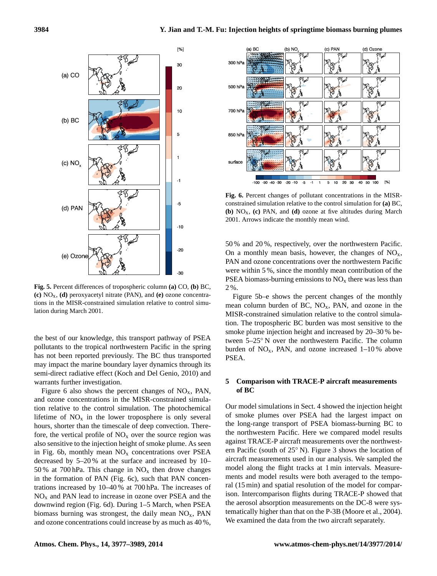

**Fig. 5.** Percent differences of tropospheric column **(a)** CO, **(b)** BC, **(c)** NOx, **(d)** peroxyacetyl nitrate (PAN), and **(e)** ozone concentrations in the MISR-constrained simulation relative to control simulation during March 2001.

the best of our knowledge, this transport pathway of PSEA pollutants to the tropical northwestern Pacific in the spring has not been reported previously. The BC thus transported may impact the marine boundary layer dynamics through its semi-direct radiative effect (Koch and Del Genio, 2010) and warrants further investigation.

Figure 6 also shows the percent changes of  $NO<sub>x</sub>$ , PAN, and ozone concentrations in the MISR-constrained simulation relative to the control simulation. The photochemical lifetime of  $NO<sub>x</sub>$  in the lower troposphere is only several hours, shorter than the timescale of deep convection. Therefore, the vertical profile of  $NO<sub>x</sub>$  over the source region was also sensitive to the injection height of smoke plume. As seen in Fig. 6b, monthly mean  $NO<sub>x</sub>$  concentrations over PSEA decreased by 5–20 % at the surface and increased by 10– 50 % at 700 hPa. This change in  $NO<sub>x</sub>$  then drove changes in the formation of PAN (Fig. 6c), such that PAN concentrations increased by 10–40 % at 700 hPa. The increases of  $NO<sub>x</sub>$  and PAN lead to increase in ozone over PSEA and the downwind region (Fig. 6d). During 1–5 March, when PSEA biomass burning was strongest, the daily mean  $NO<sub>x</sub>$ , PAN and ozone concentrations could increase by as much as 40 %,



**Fig. 6.** Percent changes of pollutant concentrations in the MISRconstrained simulation relative to the control simulation for **(a)** BC, **(b)** NOx, **(c)** PAN, and **(d)** ozone at five altitudes during March 2001. Arrows indicate the monthly mean wind.

50 % and 20 %, respectively, over the northwestern Pacific. On a monthly mean basis, however, the changes of  $NO<sub>x</sub>$ , PAN and ozone concentrations over the northwestern Pacific were within 5 %, since the monthly mean contribution of the PSEA biomass-burning emissions to  $NO<sub>x</sub>$  there was less than 2 %.

Figure 5b–e shows the percent changes of the monthly mean column burden of BC,  $NO<sub>x</sub>$ , PAN, and ozone in the MISR-constrained simulation relative to the control simulation. The tropospheric BC burden was most sensitive to the smoke plume injection height and increased by 20–30 % between 5–25◦ N over the northwestern Pacific. The column burden of  $NO_x$ , PAN, and ozone increased  $1-10\%$  above PSEA.

## **5 Comparison with TRACE-P aircraft measurements of BC**

Our model simulations in Sect. 4 showed the injection height of smoke plumes over PSEA had the largest impact on the long-range transport of PSEA biomass-burning BC to the northwestern Pacific. Here we compared model results against TRACE-P aircraft measurements over the northwestern Pacific (south of 25◦ N). Figure 3 shows the location of aircraft measurements used in our analysis. We sampled the model along the flight tracks at 1 min intervals. Measurements and model results were both averaged to the temporal (15 min) and spatial resolution of the model for comparison. Intercomparison flights during TRACE-P showed that the aerosol absorption measurements on the DC-8 were systematically higher than that on the P-3B (Moore et al., 2004). We examined the data from the two aircraft separately.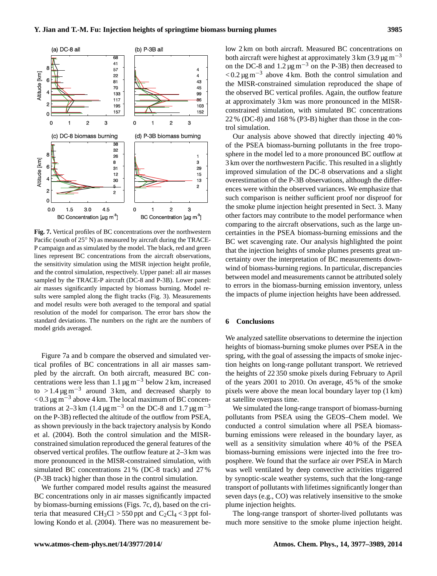

**Fig. 7.** Vertical profiles of BC concentrations over the northwestern Pacific (south of 25◦ N) as measured by aircraft during the TRACE-P campaign and as simulated by the model. The black, red and green lines represent BC concentrations from the aircraft observations, the sensitivity simulation using the MISR injection height profile, and the control simulation, respectively. Upper panel: all air masses sampled by the TRACE-P aircraft (DC-8 and P-3B). Lower panel: air masses significantly impacted by biomass burning. Model results were sampled along the flight tracks (Fig. 3). Measurements and model results were both averaged to the temporal and spatial resolution of the model for comparison. The error bars show the standard deviations. The numbers on the right are the numbers of model grids averaged.

Figure 7a and b compare the observed and simulated vertical profiles of BC concentrations in all air masses sampled by the aircraft. On both aircraft, measured BC concentrations were less than 1.1  $\mu$ g m<sup>-3</sup> below 2 km, increased to > 1.4  $\mu$ g m<sup>-3</sup> around 3 km, and decreased sharply to < 0.3 µg m−<sup>3</sup> above 4 km. The local maximum of BC concentrations at 2–3 km (1.4  $\mu$ g m<sup>-3</sup> on the DC-8 and 1.7  $\mu$ g m<sup>-3</sup> on the P-3B) reflected the altitude of the outflow from PSEA, as shown previously in the back trajectory analysis by Kondo et al. (2004). Both the control simulation and the MISRconstrained simulation reproduced the general features of the observed vertical profiles. The outflow feature at 2–3 km was more pronounced in the MISR-constrained simulation, with simulated BC concentrations 21 % (DC-8 track) and 27 % (P-3B track) higher than those in the control simulation.

We further compared model results against the measured BC concentrations only in air masses significantly impacted by biomass-burning emissions (Figs. 7c, d), based on the criteria that measured  $CH_3Cl > 550$  ppt and  $C_2Cl_4 < 3$  ppt following Kondo et al. (2004). There was no measurement below 2 km on both aircraft. Measured BC concentrations on both aircraft were highest at approximately 3 km  $(3.9 \,\mu g m^{-3})$ on the DC-8 and  $1.2 \mu g m^{-3}$  on the P-3B) then decreased to  $< 0.2 \,\mu g \,\text{m}^{-3}$  above 4 km. Both the control simulation and the MISR-constrained simulation reproduced the shape of the observed BC vertical profiles. Again, the outflow feature at approximately 3 km was more pronounced in the MISRconstrained simulation, with simulated BC concentrations 22 % (DC-8) and 168 % (P3-B) higher than those in the control simulation.

Our analysis above showed that directly injecting 40 % of the PSEA biomass-burning pollutants in the free troposphere in the model led to a more pronounced BC outflow at 3 km over the northwestern Pacific. This resulted in a slightly improved simulation of the DC-8 observations and a slight overestimation of the P-3B observations, although the differences were within the observed variances. We emphasize that such comparison is neither sufficient proof nor disproof for the smoke plume injection height presented in Sect. 3. Many other factors may contribute to the model performance when comparing to the aircraft observations, such as the large uncertainties in the PSEA biomass-burning emissions and the BC wet scavenging rate. Our analysis highlighted the point that the injection heights of smoke plumes presents great uncertainty over the interpretation of BC measurements downwind of biomass-burning regions. In particular, discrepancies between model and measurements cannot be attributed solely to errors in the biomass-burning emission inventory, unless the impacts of plume injection heights have been addressed.

#### **6 Conclusions**

We analyzed satellite observations to determine the injection heights of biomass-burning smoke plumes over PSEA in the spring, with the goal of assessing the impacts of smoke injection heights on long-range pollutant transport. We retrieved the heights of 22 350 smoke pixels during February to April of the years 2001 to 2010. On average, 45 % of the smoke pixels were above the mean local boundary layer top (1 km) at satellite overpass time.

We simulated the long-range transport of biomass-burning pollutants from PSEA using the GEOS–Chem model. We conducted a control simulation where all PSEA biomassburning emissions were released in the boundary layer, as well as a sensitivity simulation where 40 % of the PSEA biomass-burning emissions were injected into the free troposphere. We found that the surface air over PSEA in March was well ventilated by deep convective activities triggered by synoptic-scale weather systems, such that the long-range transport of pollutants with lifetimes significantly longer than seven days (e.g., CO) was relatively insensitive to the smoke plume injection heights.

The long-range transport of shorter-lived pollutants was much more sensitive to the smoke plume injection height.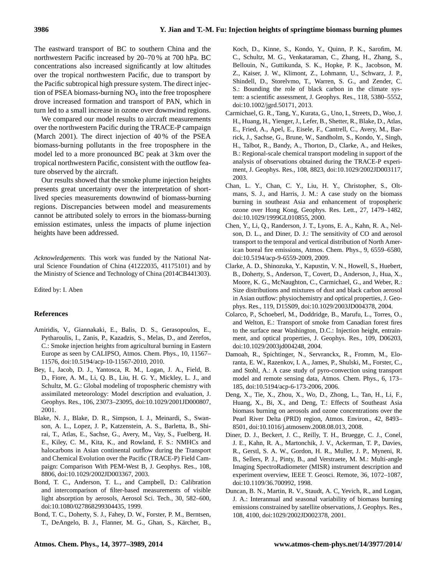The eastward transport of BC to southern China and the northwestern Pacific increased by 20–70 % at 700 hPa. BC concentrations also increased significantly at low altitudes over the tropical northwestern Pacific, due to transport by the Pacific subtropical high pressure system. The direct injection of PSEA biomass-burning  $NO<sub>x</sub>$  into the free troposphere drove increased formation and transport of PAN, which in turn led to a small increase in ozone over downwind regions.

We compared our model results to aircraft measurements over the northwestern Pacific during the TRACE-P campaign (March 2001). The direct injection of 40 % of the PSEA biomass-burning pollutants in the free troposphere in the model led to a more pronounced BC peak at 3 km over the tropical northwestern Pacific, consistent with the outflow feature observed by the aircraft.

Our results showed that the smoke plume injection heights presents great uncertainty over the interpretation of shortlived species measurements downwind of biomass-burning regions. Discrepancies between model and measurements cannot be attributed solely to errors in the biomass-burning emission estimates, unless the impacts of plume injection heights have been addressed.

*Acknowledgements.* This work was funded by the National Natural Science Foundation of China (41222035, 41175101) and by the Ministry of Science and Technology of China (2014CB441303).

Edited by: I. Aben

#### **References**

- Amiridis, V., Giannakaki, E., Balis, D. S., Gerasopoulos, E., Pytharoulis, I., Zanis, P., Kazadzis, S., Melas, D., and Zerefos, C.: Smoke injection heights from agricultural burning in Eastern Europe as seen by CALIPSO, Atmos. Chem. Phys., 10, 11567– 11576, doi:10.5194/acp-10-11567-2010, 2010.
- Bey, I., Jacob, D. J., Yantosca, R. M., Logan, J. A., Field, B. D., Fiore, A. M., Li, Q. B., Liu, H. G. Y., Mickley, L. J., and Schultz, M. G.: Global modeling of tropospheric chemistry with assimilated meteorology: Model description and evaluation, J. Geophys. Res., 106, 23073–23095, doi:10.1029/2001JD000807, 2001.
- Blake, N. J., Blake, D. R., Simpson, I. J., Meinardi, S., Swanson, A. L., Lopez, J. P., Katzenstein, A. S., Barletta, B., Shirai, T., Atlas, E., Sachse, G., Avery, M., Vay, S., Fuelberg, H. E., Kiley, C. M., Kita, K., and Rowland, F. S.: NMHCs and halocarbons in Asian continental outflow during the Transport and Chemical Evolution over the Pacific (TRACE-P) Field Campaign: Comparison With PEM-West B, J. Geophys. Res., 108, 8806, doi:10.1029/2002JD003367, 2003.
- Bond, T. C., Anderson, T. L., and Campbell, D.: Calibration and intercomparison of filter-based measurements of visible light absorption by aerosols, Aerosol Sci. Tech., 30, 582–600, doi:10.1080/027868299304435, 1999.
- Bond, T. C., Doherty, S. J., Fahey, D. W., Forster, P. M., Berntsen, T., DeAngelo, B. J., Flanner, M. G., Ghan, S., Kärcher, B.,

Koch, D., Kinne, S., Kondo, Y., Quinn, P. K., Sarofim, M. C., Schultz, M. G., Venkataraman, C., Zhang, H., Zhang, S., Bellouin, N., Guttikunda, S. K., Hopke, P. K., Jacobson, M. Z., Kaiser, J. W., Klimont, Z., Lohmann, U., Schwarz, J. P., Shindell, D., Storelvmo, T., Warren, S. G., and Zender, C. S.: Bounding the role of black carbon in the climate system: a scientific assessment, J. Geophys. Res., 118, 5380–5552, doi:10.1002/jgrd.50171, 2013.

- Carmichael, G. R., Tang, Y., Kurata, G., Uno, I., Streets, D., Woo, J. H., Huang, H., Yienger, J., Lefer, B., Shetter, R., Blake, D., Atlas, E., Fried, A., Apel, E., Eisele, F., Cantrell, C., Avery, M., Barrick, J., Sachse, G., Brune, W., Sandholm, S., Kondo, Y., Singh, H., Talbot, R., Bandy, A., Thorton, D., Clarke, A., and Heikes, B.: Regional-scale chemical transport modeling in support of the analysis of observations obtained during the TRACE-P experiment, J. Geophys. Res., 108, 8823, doi:10.1029/2002JD003117, 2003.
- Chan, L. Y., Chan, C. Y., Liu, H. Y., Christopher, S., Oltmans, S. J., and Harris, J. M.: A case study on the biomass burning in southeast Asia and enhancement of tropospheric ozone over Hong Kong, Geophys. Res. Lett., 27, 1479–1482, doi:10.1029/1999GL010855, 2000.
- Chen, Y., Li, Q., Randerson, J. T., Lyons, E. A., Kahn, R. A., Nelson, D. L., and Diner, D. J.: The sensitivity of CO and aerosol transport to the temporal and vertical distribution of North American boreal fire emissions, Atmos. Chem. Phys., 9, 6559–6580, doi:10.5194/acp-9-6559-2009, 2009.
- Clarke, A. D., Shinozuka, Y., Kapustin, V. N., Howell, S., Huebert, B., Doherty, S., Anderson, T., Covert, D., Anderson, J., Hua, X., Moore, K. G., McNaughton, C., Carmichael, G., and Weber, R.: Size distributions and mixtures of dust and black carbon aerosol in Asian outflow: physiochemistry and optical properties, J. Geophys. Res., 119, D15S09, doi:10.1029/2003JD004378, 2004.
- Colarco, P., Schoeberl, M., Doddridge, B., Marufu, L., Torres, O., and Welton, E.: Transport of smoke from Canadian forest fires to the surface near Washington, D.C.: Injection height, entrainment, and optical properties, J. Geophys. Res., 109, D06203, doi:10.1029/2003jd004248, 2004.
- Damoah, R., Spichtinger, N., Servranckx, R., Fromm, M., Eloranta, E. W., Razenkov, I. A., James, P., Shulski, M., Forster, C., and Stohl, A.: A case study of pyro-convection using transport model and remote sensing data, Atmos. Chem. Phys., 6, 173– 185, doi:10.5194/acp-6-173-2006, 2006.
- Deng, X., Tie, X., Zhou, X., Wo, D., Zhong, L., Tan, H., Li, F., Huang, X., Bi, X., and Deng, T.: Effects of Southeast Asia biomass burning on aerosols and ozone concentrations over the Pearl River Delta (PRD) region, Atmos. Environ., 42, 8493– 8501, doi:10.1016/j.atmosenv.2008.08.013, 2008.
- Diner, D. J., Beckert, J. C., Reilly, T. H., Bruegge, C. J., Conel, J. E., Kahn, R. A., Martonchik, J. V., Ackerman, T. P., Davies, R., Gerstl, S. A. W., Gordon, H. R., Muller, J. P., Myneni, R. B., Sellers, P. J., Pinty, B., and Verstraete, M. M.: Multi-angle Imaging SpectroRadiometer (MISR) instrument description and experiment overview, IEEE T. Geosci. Remote, 36, 1072–1087, doi:10.1109/36.700992, 1998.
- Duncan, B. N., Martin, R. V., Staudt, A. C, Yevich, R., and Logan, J. A.: Interannual and seasonal variability of biomass burning emissions constrained by satellite observations, J. Geophys. Res., 108, 4100, doi:1029/2002JD002378, 2001.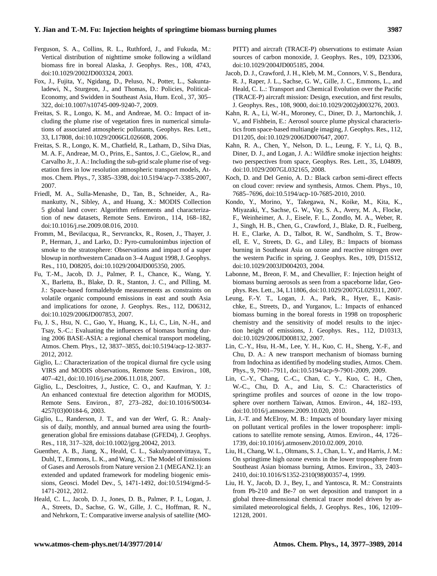- Ferguson, S. A., Collins, R. L., Ruthford, J., and Fukuda, M.: Vertical distribution of nighttime smoke following a wildland biomass fire in boreal Alaska, J. Geophys. Res., 108, 4743, doi:10.1029/2002JD003324, 2003.
- Fox, J., Fujita, Y., Ngidang, D., Peluso, N., Potter, L., Sakuntaladewi, N., Sturgeon, J., and Thomas, D.: Policies, Political-Economy, and Swidden in Southeast Asia, Hum. Ecol., 37, 305– 322, doi:10.1007/s10745-009-9240-7, 2009.
- Freitas, S. R., Longo, K. M., and Andreae, M. O.: Impact of including the plume rise of vegetation fires in numerical simulations of associated atmospheric pollutants, Geophys. Res. Lett., 33, L17808, doi:10.1029/2006GL026608, 2006.
- Freitas, S. R., Longo, K. M., Chatfield, R., Latham, D., Silva Dias, M. A. F., Andreae, M. O., Prins, E., Santos, J. C., Gielow, R., and Carvalho Jr., J. A.: Including the sub-grid scale plume rise of vegetation fires in low resolution atmospheric transport models, Atmos. Chem. Phys., 7, 3385–3398, doi:10.5194/acp-7-3385-2007, 2007.
- Friedl, M. A., Sulla-Menashe, D., Tan, B., Schneider, A., Ramankutty, N., Sibley, A., and Huang, X.: MODIS Collection 5 global land cover: Algorithm refinements and characterization of new datasets, Remote Sens. Environ., 114, 168–182, doi:10.1016/j.rse.2009.08.016, 2010.
- Fromm, M., Bevilacqua, R., Servranckx, R., Rosen, J., Thayer, J. P., Herman, J., and Larko, D.: Pyro-cumulonimbus injection of smoke to the stratosphere: Observations and impact of a super blowup in northwestern Canada on 3–4 August 1998, J. Geophys. Res., 110, D08205, doi:10.1029/2004JD005350, 2005.
- Fu, T.-M., Jacob, D. J., Palmer, P. I., Chance, K., Wang, Y. X., Barletta, B., Blake, D. R., Stanton, J. C., and Pilling, M. J.: Space-based formaldehyde measurements as constraints on volatile organic compound emissions in east and south Asia and implications for ozone, J. Geophys. Res., 112, D06312, doi:10.1029/2006JD007853, 2007.
- Fu, J. S., Hsu, N. C., Gao, Y., Huang, K., Li, C., Lin, N.-H., and Tsay, S.-C.: Evaluating the influences of biomass burning during 2006 BASE-ASIA: a regional chemical transport modeling, Atmos. Chem. Phys., 12, 3837–3855, doi:10.5194/acp-12-3837- 2012, 2012.
- Giglio, L.: Characterization of the tropical diurnal fire cycle using VIRS and MODIS observations, Remote Sens. Environ., 108, 407–421, doi:10.1016/j.rse.2006.11.018, 2007.
- Giglio, L., Descloitres, J., Justice, C. O., and Kaufman, Y. J.: An enhanced contextual fire detection algorithm for MODIS, Remote Sens. Environ., 87, 273–282, doi:10.1016/S0034- 4257(03)00184-6, 2003.
- Giglio, L., Randerson, J. T., and van der Werf, G. R.: Analysis of daily, monthly, and annual burned area using the fourthgeneration global fire emissions database (GFED4), J. Geophys. Res., 118, 317–328, doi:10.1002/jgrg.20042, 2013.
- Guenther, A. B., Jiang, X., Heald, C. L., Sakulyanontvittaya, T., Duhl, T., Emmons, L. K., and Wang, X.: The Model of Emissions of Gases and Aerosols from Nature version 2.1 (MEGAN2.1): an extended and updated framework for modeling biogenic emissions, Geosci. Model Dev., 5, 1471-1492, doi:10.5194/gmd-5- 1471-2012, 2012.
- Heald, C. L., Jacob, D. J., Jones, D. B., Palmer, P. I., Logan, J. A., Streets, D., Sachse, G. W., Gille, J. C., Hoffman, R. N., and Nehrkorn, T.: Comparative inverse analysis of satellite (MO-

PITT) and aircraft (TRACE-P) observations to estimate Asian sources of carbon monoxide, J. Geophys. Res., 109, D23306, doi:10.1029/2004JD005185, 2004.

- Jacob, D. J., Crawford, J. H., Kleb, M. M., Connors, V. S., Bendura, R. J., Raper, J. L., Sachse, G. W., Gille, J. C., Emmons, L., and Heald, C. L.: Transport and Chemical Evolution over the Pacific (TRACE-P) aircraft mission: Design, execution, and first results, J. Geophys. Res., 108, 9000, doi:10.1029/2002jd003276, 2003.
- Kahn, R. A., Li, W.-H., Moroney, C., Diner, D. J., Martonchik, J. V., and Fishbein, E.: Aerosol source plume physical characteristics from space-based multiangle imaging, J. Geophys. Res., 112, D11205, doi:10.1029/2006JD007647, 2007.
- Kahn, R. A., Chen, Y., Nelson, D. L., Leung, F. Y., Li, Q. B., Diner, D. J., and Logan, J. A.: Wildfire smoke injection heights: two perspectives from space, Geophys. Res. Lett., 35, L04809, doi:10.1029/2007GL032165, 2008.
- Koch, D. and Del Genio, A. D.: Black carbon semi-direct effects on cloud cover: review and synthesis, Atmos. Chem. Phys., 10, 7685–7696, doi:10.5194/acp-10-7685-2010, 2010.
- Kondo, Y., Morino, Y., Takegawa, N., Koike, M., Kita, K., Miyazaki, Y., Sachse, G. W., Vay, S. A., Avery, M. A., Flocke, F., Weinheimer, A. J., Eisele, F. L., Zondlo, M. A., Weber, R. J., Singh, H. B., Chen, G., Crawford, J., Blake, D. R., Fuelberg, H. E., Clarke, A. D., Talbot, R. W., Sandholm, S. T., Browell, E. V., Streets, D. G., and Liley, B.: Impacts of biomass burning in Southeast Asia on ozone and reactive nitrogen over the western Pacific in spring, J. Geophys. Res., 109, D15S12, doi:10.1029/2003JD004203, 2004.
- Labonne, M., Breon, F. M., and Chevallier, F.: Injection height of biomass burning aerosols as seen from a spaceborne lidar, Geophys. Res. Lett., 34, L11806, doi:10.1029/2007GL029311, 2007.
- Leung, F.-Y. T., Logan, J. A., Park, R., Hyer, E., Kasischke, E., Streets, D., and Yurganov, L.: Impacts of enhanced biomass burning in the boreal forests in 1998 on tropospheric chemistry and the sensitivity of model results to the injection height of emissions, J. Geophys. Res., 112, D10313, doi:10.1029/2006JD008132, 2007.
- Lin, C.-Y., Hsu, H.-M., Lee, Y. H., Kuo, C. H., Sheng, Y.-F., and Chu, D. A.: A new transport mechanism of biomass burning from Indochina as identified by modeling studies, Atmos. Chem. Phys., 9, 7901–7911, doi:10.5194/acp-9-7901-2009, 2009.
- Lin, C.-Y., Chang, C.-C., Chan, C. Y., Kuo, C. H., Chen, W.-C., Chu, D. A., and Liu, S. C.: Characteristics of springtime profiles and sources of ozone in the low troposphere over northern Taiwan, Atmos. Environ., 44, 182–193, doi:10.1016/j.atmosenv.2009.10.020, 2010.
- Lin, J.-T. and McElroy, M. B.: Impacts of boundary layer mixing on pollutant vertical profiles in the lower troposphere: implications to satellite remote sensing, Atmos. Environ., 44, 1726– 1739, doi:10.1016/j.atmosenv.2010.02.009, 2010.
- Liu, H., Chang, W. L., Oltmans, S. J., Chan, L. Y., and Harris, J. M.: On springtime high ozone events in the lower troposphere from Southeast Asian biomass burning, Atmos. Environ., 33, 2403– 2410, doi:10.1016/S1352-2310(98)00357-4, 1999.
- Liu, H. Y., Jacob, D. J., Bey, I., and Yantosca, R. M.: Constraints from Pb-210 and Be-7 on wet deposition and transport in a global three-dimensional chemical tracer model driven by assimilated meteorological fields, J. Geophys. Res., 106, 12109– 12128, 2001.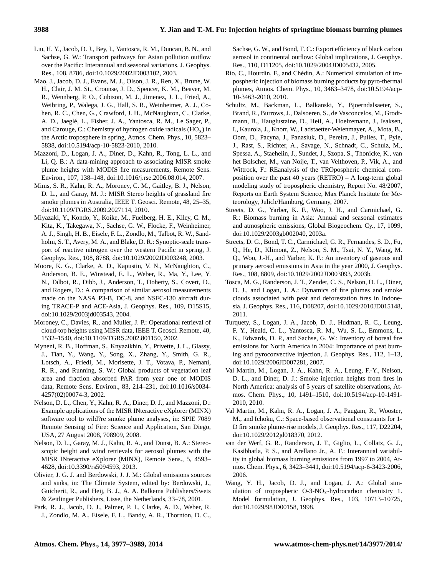- Liu, H. Y., Jacob, D. J., Bey, I., Yantosca, R. M., Duncan, B. N., and Sachse, G. W.: Transport pathways for Asian pollution outflow over the Pacific: Interannual and seasonal variations, J. Geophys. Res., 108, 8786, doi:10.1029/2002JD003102, 2003.
- Mao, J., Jacob, D. J., Evans, M. J., Olson, J. R., Ren, X., Brune, W. H., Clair, J. M. St., Crounse, J. D., Spencer, K. M., Beaver, M. R., Wennberg, P. O., Cubison, M. J., Jimenez, J. L., Fried, A., Weibring, P., Walega, J. G., Hall, S. R., Weinheimer, A. J., Cohen, R. C., Chen, G., Crawford, J. H., McNaughton, C., Clarke, A. D., Jaeglé, L., Fisher, J. A., Yantosca, R. M., Le Sager, P., and Carouge, C.: Chemistry of hydrogen oxide radicals  $(HO_x)$  in the Arctic troposphere in spring, Atmos. Chem. Phys., 10, 5823– 5838, doi:10.5194/acp-10-5823-2010, 2010.
- Mazzoni, D., Logan, J. A., Diner, D., Kahn, R., Tong, L. L., and Li, Q. B.: A data-mining approach to associating MISR smoke plume heights with MODIS fire measurements, Remote Sens. Environ., 107, 138–148, doi:10.1016/j.rse.2006.08.014, 2007.
- Mims, S. R., Kahn, R. A., Moroney, C. M., Gaitley, B. J., Nelson, D. L., and Garay, M. J.: MISR Stereo heights of grassland fire smoke plumes in Australia, IEEE T. Geosci. Remote, 48, 25–35, doi:10.1109/TGRS.2009.2027114, 2010.
- Miyazaki, Y., Kondo, Y., Koike, M., Fuelberg, H. E., Kiley, C. M., Kita, K., Takegawa, N., Sachse, G. W., Flocke, F., Weinheimer, A. J., Singh, H. B., Eisele, F. L., Zondlo, M., Talbot, R. W., Sandholm, S. T., Avery, M. A., and Blake, D. R.: Synoptic-scale transport of reactive nitrogen over the western Pacific in spring, J. Geophys. Res., 108, 8788, doi:10.1029/2002JD003248, 2003.
- Moore, K. G., Clarke, A. D., Kapustin, V. N., McNaughton, C., Anderson, B. E., Winstead, E. L., Weber, R., Ma, Y., Lee, Y. N., Talbot, R., Dibb, J., Anderson, T., Doherty, S., Covert, D., and Rogers, D.: A comparison of similar aerosol measurements made on the NASA P3-B, DC-8, and NSFC-130 aircraft during TRACE-P and ACE-Asia, J. Geophys. Res., 109, D15S15, doi:10.1029/2003jd003543, 2004.
- Moroney, C., Davies, R., and Muller, J. P.: Operational retrieval of cloud-top heights using MISR data, IEEE T. Geosci. Remote, 40, 1532–1540, doi:10.1109/TGRS.2002.801150, 2002.
- Myneni, R. B., Hoffman, S., Knyazikhin, Y., Privette, J. L., Glassy, J., Tian, Y., Wang, Y., Song, X., Zhang, Y., Smith, G. R., Lotsch, A., Friedl, M., Morisette, J. T., Votava, P., Nemani, R. R., and Running, S. W.: Global products of vegetation leaf area and fraction absorbed PAR from year one of MODIS data, Remote Sens. Environ., 83, 214–231, doi:10.1016/s0034- 4257(02)00074-3, 2002.
- Nelson, D. L., Chen, Y., Kahn, R. A., Diner, D. J., and Mazzoni, D.: Example applications of the MISR INteractive eXplorer (MINX) software tool to wild?re smoke plume analyses, in: SPIE 7089 Remote Sensing of Fire: Science and Application, San Diego, USA, 27 August 2008, 708909, 2008.
- Nelson, D. L., Garay, M. J., Kahn, R. A., and Dunst, B. A.: Stereoscopic height and wind retrievals for aerosol plumes with the MISR INteractive eXplorer (MINX), Remote Sens., 5, 4593– 4628, doi:10.3390/rs5094593, 2013.
- Olivier, J. G. J. and Berdowski, J. J. M.: Global emissions sources and sinks, in: The Climate System, edited by: Berdowski, J., Guicherit, R., and Heij, B. J., A. A. Balkema Publishers/Swets & Zeitlinger Publishers, Lisse, the Netherlands, 33–78, 2001.
- Park, R. J., Jacob, D. J., Palmer, P. I., Clarke, A. D., Weber, R. J., Zondlo, M. A., Eisele, F. L., Bandy, A. R., Thornton, D. C.,

Sachse, G. W., and Bond, T. C.: Export efficiency of black carbon aerosol in continental outflow: Global implications, J. Geophys. Res., 110, D11205, doi:10.1029/2004JD005432, 2005.

- Rio, C., Hourdin, F., and Chédin, A.: Numerical simulation of tropospheric injection of biomass burning products by pyro-thermal plumes, Atmos. Chem. Phys., 10, 3463–3478, doi:10.5194/acp-10-3463-2010, 2010.
- Schultz, M., Backman, L., Balkanski, Y., Bjoerndalsaeter, S., Brand, R., Burrows, J., Dalsoeren, S., de Vasconcelos, M., Grodtmann, B., Hauglustaine, D., Heil, A., Hoelzemann, J., Isaksen, I., Kaurola, J., Knorr, W., Ladstaetter-Weienmayer, A., Mota, B., Oom, D., Pacyna, J., Panasiuk, D., Pereira, J., Pulles, T., Pyle, J., Rast, S., Richter, A., Savage, N., Schnadt, C., Schulz, M., Spessa, A., Staehelin, J., Sundet, J., Szopa, S., Thonicke, K., van het Bolscher, M., van Noije, T., van Velthoven, P., Vik, A., and Wittrock, F.: REanalysis of the TROpospheric chemical composition over the past 40 years (RETRO) – A long-term global modeling study of tropospheric chemistry, Report No. 48/2007, Reports on Earth System Science, Max Planck Institute for Meteorology, Julich/Hamburg, Germany, 2007.
- Streets, D. G., Yarber, K. F., Woo, J. H., and Carmichael, G. R.: Biomass burning in Asia: Annual and seasonal estimates and atmospheric emissions, Global Biogeochem. Cy., 17, 1099, doi:10.1029/2003gb002040, 2003a.
- Streets, D. G., Bond, T. C., Carmichael, G. R., Fernandes, S. D., Fu, Q., He, D., Klimont, Z., Nelson, S. M., Tsai, N. Y., Wang, M. Q., Woo, J.-H., and Yarber, K. F.: An inventory of gaseous and primary aerosol emissions in Asia in the year 2000, J. Geophys. Res., 108, 8809, doi:10.1029/2002JD003093, 2003b.
- Tosca, M. G., Randerson, J. T., Zender, C. S., Nelson, D. L., Diner, D. J., and Logan, J. A.: Dynamics of fire plumes and smoke clouds associated with peat and deforestation fires in Indonesia, J. Geophys. Res., 116, D08207, doi:10.1029/2010JD015148, 2011.
- Turquety, S., Logan, J. A., Jacob, D. J., Hudman, R. C., Leung, F. Y., Heald, C. L., Yantosca, R. M., Wu, S. L., Emmons, L. K., Edwards, D. P., and Sachse, G. W.: Inventory of boreal fire emissions for North America in 2004: Importance of peat burning and pyroconvective injection, J. Geophys. Res., 112, 1–13, doi:10.1029/2006JD007281, 2007.
- Val Martin, M., Logan, J. A., Kahn, R. A., Leung, F.-Y., Nelson, D. L., and Diner, D. J.: Smoke injection heights from fires in North America: analysis of 5 years of satellite observations, Atmos. Chem. Phys., 10, 1491–1510, doi:10.5194/acp-10-1491- 2010, 2010.
- Val Martin, M., Kahn, R. A., Logan, J. A., Paugam, R., Wooster, M., and Ichoku, C.: Space-based observational constraints for 1- D fire smoke plume-rise models, J. Geophys. Res., 117, D22204, doi:10.1029/2012jd018370, 2012.
- van der Werf, G. R., Randerson, J. T., Giglio, L., Collatz, G. J., Kasibhatla, P. S., and Arellano Jr., A. F.: Interannual variability in global biomass burning emissions from 1997 to 2004, Atmos. Chem. Phys., 6, 3423–3441, doi:10.5194/acp-6-3423-2006, 2006.
- Wang, Y. H., Jacob, D. J., and Logan, J. A.: Global simulation of tropospheric  $O-3-NO<sub>x</sub>$ -hydrocarbon chemistry 1. Model formulation, J. Geophys. Res., 103, 10713–10725, doi:10.1029/98JD00158, 1998.